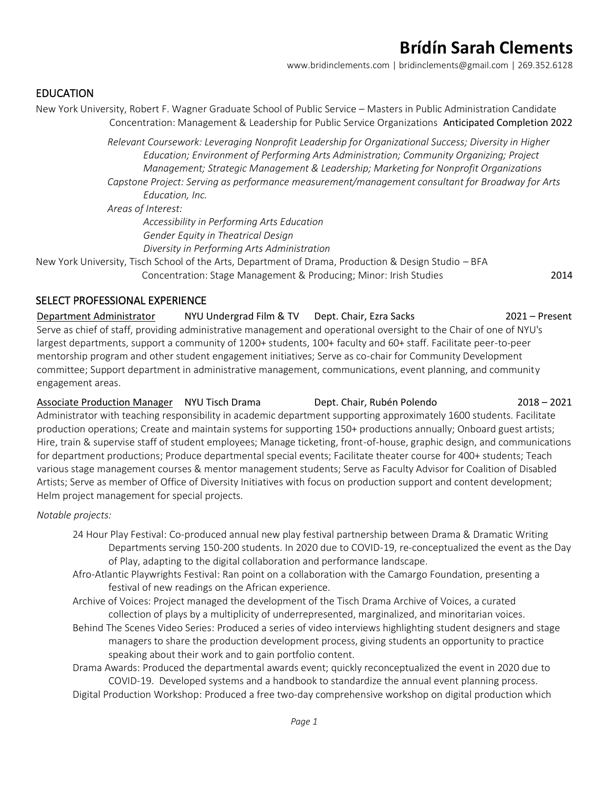[www.bridinclements.com](http://www.bridinclements.com/) | [bridinclements@gmail.com](mailto:bridinclements@gmail.com2) | 269.352.6128

#### EDUCATION

New York University, Robert F. Wagner Graduate School of Public Service – Masters in Public Administration Candidate Concentration: Management & Leadership for Public Service Organizations Anticipated Completion 2022

> *Relevant Coursework: Leveraging Nonprofit Leadership for Organizational Success; Diversity in Higher Education; Environment of Performing Arts Administration; Community Organizing; Project Management; Strategic Management & Leadership; Marketing for Nonprofit Organizations Capstone Project: Serving as performance measurement/management consultant for Broadway for Arts*

*Education, Inc. Areas of Interest: Accessibility in Performing Arts Education Gender Equity in Theatrical Design Diversity in Performing Arts Administration*

New York University, Tisch School of the Arts, Department of Drama, Production & Design Studio – BFA Concentration: Stage Management & Producing; Minor: Irish Studies 2014

#### SELECT PROFESSIONAL EXPERIENCE

Department Administrator NYU Undergrad Film & TV Dept. Chair, Ezra Sacks 2021 – Present Serve as chief of staff, providing administrative management and operational oversight to the Chair of one of NYU's largest departments, support a community of 1200+ students, 100+ faculty and 60+ staff. Facilitate peer-to-peer mentorship program and other student engagement initiatives; Serve as co-chair for Community Development committee; Support department in administrative management, communications, event planning, and community engagement areas.

Associate Production Manager NYU Tisch Drama Dept. Chair, Rubén Polendo 2018 – 2021 Administrator with teaching responsibility in academic department supporting approximately 1600 students. Facilitate production operations; Create and maintain systems for supporting 150+ productions annually; Onboard guest artists; Hire, train & supervise staff of student employees; Manage ticketing, front-of-house, graphic design, and communications for department productions; Produce departmental special events; Facilitate theater course for 400+ students; Teach various stage management courses & mentor management students; Serve as Faculty Advisor for Coalition of Disabled Artists; Serve as member of Office of Diversity Initiatives with focus on production support and content development; Helm project management for special projects.

*Notable projects:* 

- 24 Hour Play Festival: Co-produced annual new play festival partnership between Drama & Dramatic Writing Departments serving 150-200 students. In 2020 due to COVID-19, re-conceptualized the event as the Day of Play, adapting to the digital collaboration and performance landscape.
- Afro-Atlantic Playwrights Festival: Ran point on a collaboration with the Camargo Foundation, presenting a festival of new readings on the African experience.
- Archive of Voices: Project managed the development of the Tisch Drama Archive of Voices, a curated collection of plays by a multiplicity of underrepresented, marginalized, and minoritarian voices.
- Behind The Scenes Video Series: Produced a series of video interviews highlighting student designers and stage managers to share the production development process, giving students an opportunity to practice speaking about their work and to gain portfolio content.

Drama Awards: Produced the departmental awards event; quickly reconceptualized the event in 2020 due to COVID-19. Developed systems and a handbook to standardize the annual event planning process.

Digital Production Workshop: Produced a free two-day comprehensive workshop on digital production which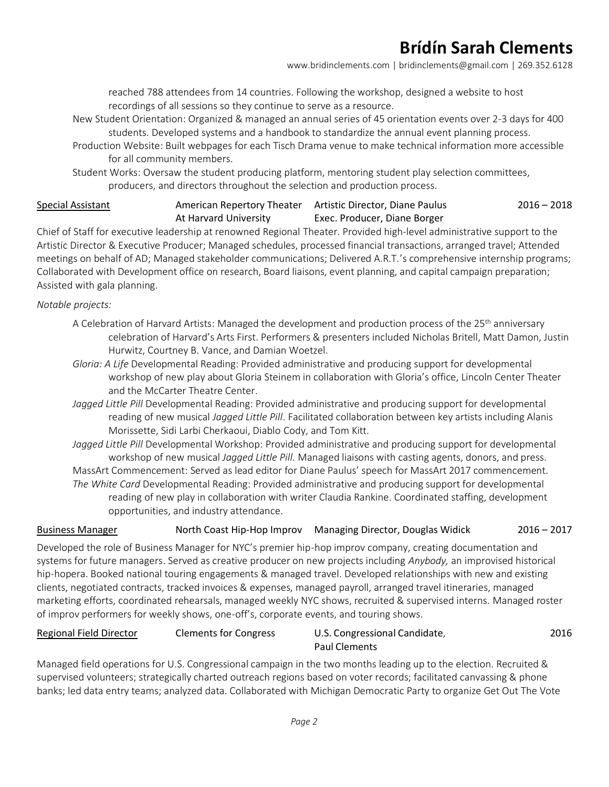[www.bridinclements.com](http://www.bridinclements.com/) | [bridinclements@gmail.com](mailto:bridinclements@gmail.com2) | 269.352.6128

reached 788 attendees from 14 countries. Following the workshop, designed a website to host recordings of all sessions so they continue to serve as a resource.

- New Student Orientation: Organized & managed an annual series of 45 orientation events over 2-3 days for 400 students. Developed systems and a handbook to standardize the annual event planning process.
- Production Website: Built webpages for each Tisch Drama venue to make technical information more accessible for all community members.

Student Works: Oversaw the student producing platform, mentoring student play selection committees, producers, and directors throughout the selection and production process.

#### Special Assistant **American Repertory Theater** Artistic Director, Diane Paulus At Harvard University Exec. Producer, Diane Borger 2016 – 2018

Chief of Staff for executive leadership at renowned Regional Theater. Provided high-level administrative support to the Artistic Director & Executive Producer; Managed schedules, processed financial transactions, arranged travel; Attended meetings on behalf of AD; Managed stakeholder communications; Delivered A.R.T.'s comprehensive internship programs; Collaborated with Development office on research, Board liaisons, event planning, and capital campaign preparation; Assisted with gala planning.

*Notable projects:*

- A Celebration of Harvard Artists: Managed the development and production process of the 25<sup>th</sup> anniversary celebration of Harvard's Arts First. Performers & presenters included Nicholas Britell, Matt Damon, Justin Hurwitz, Courtney B. Vance, and Damian Woetzel.
- *Gloria: A Life* Developmental Reading: Provided administrative and producing support for developmental workshop of new play about Gloria Steinem in collaboration with Gloria's office, Lincoln Center Theater and the McCarter Theatre Center.
- *Jagged Little Pill* Developmental Reading: Provided administrative and producing support for developmental reading of new musical *Jagged Little Pill*. Facilitated collaboration between key artists including Alanis Morissette, Sidi Larbi Cherkaoui, Diablo Cody, and Tom Kitt.

*Jagged Little Pill* Developmental Workshop: Provided administrative and producing support for developmental workshop of new musical *Jagged Little Pill.* Managed liaisons with casting agents, donors, and press. MassArt Commencement: Served as lead editor for Diane Paulus' speech for MassArt 2017 commencement. *The White Card* Developmental Reading: Provided administrative and producing support for developmental reading of new play in collaboration with writer Claudia Rankine. Coordinated staffing, development opportunities, and industry attendance.

#### Business Manager North Coast Hip-Hop Improv Managing Director, Douglas Widick 2016 – 2017

Developed the role of Business Manager for NYC's premier hip-hop improv company, creating documentation and systems for future managers. Served as creative producer on new projects including *Anybody,* an improvised historical hip-hopera. Booked national touring engagements & managed travel. Developed relationships with new and existing clients, negotiated contracts, tracked invoices & expenses, managed payroll, arranged travel itineraries, managed marketing efforts, coordinated rehearsals, managed weekly NYC shows, recruited & supervised interns. Managed roster of improv performers for weekly shows, one-off's, corporate events, and touring shows.

#### Regional Field Director Clements for Congress U.S. Congressional Candidate,

# Paul Clements

2016

Managed field operations for U.S. Congressional campaign in the two months leading up to the election. Recruited & supervised volunteers; strategically charted outreach regions based on voter records; facilitated canvassing & phone banks; led data entry teams; analyzed data. Collaborated with Michigan Democratic Party to organize Get Out The Vote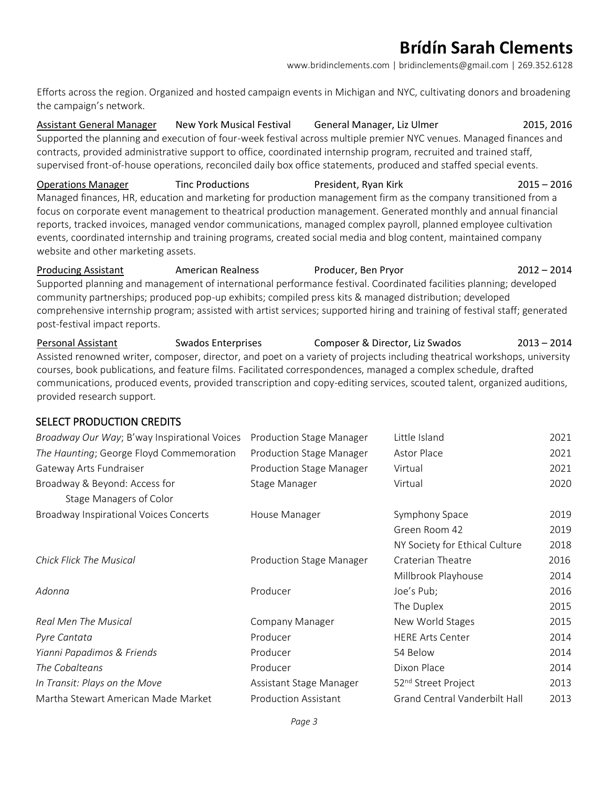[www.bridinclements.com](http://www.bridinclements.com/) | [bridinclements@gmail.com](mailto:bridinclements@gmail.com2) | 269.352.6128

Efforts across the region. Organized and hosted campaign events in Michigan and NYC, cultivating donors and broadening the campaign's network.

Assistant General Manager New York Musical Festival General Manager, Liz Ulmer 2015, 2016 Supported the planning and execution of four-week festival across multiple premier NYC venues. Managed finances and contracts, provided administrative support to office, coordinated internship program, recruited and trained staff, supervised front-of-house operations, reconciled daily box office statements, produced and staffed special events.

Operations Manager Tinc Productions President, Ryan Kirk 2015 – 2016 Managed finances, HR, education and marketing for production management firm as the company transitioned from a focus on corporate event management to theatrical production management. Generated monthly and annual financial reports, tracked invoices, managed vendor communications, managed complex payroll, planned employee cultivation events, coordinated internship and training programs, created social media and blog content, maintained company website and other marketing assets.

Producing Assistant American Realness Producer, Ben Pryor 2012 – 2014 Supported planning and management of international performance festival. Coordinated facilities planning; developed community partnerships; produced pop-up exhibits; compiled press kits & managed distribution; developed comprehensive internship program; assisted with artist services; supported hiring and training of festival staff; generated post-festival impact reports.

Personal Assistant Swados Enterprises Composer & Director, Liz Swados 2013 – 2014 Assisted renowned writer, composer, director, and poet on a variety of projects including theatrical workshops, university courses, book publications, and feature films. Facilitated correspondences, managed a complex schedule, drafted communications, produced events, provided transcription and copy-editing services, scouted talent, organized auditions, provided research support.

### SELECT PRODUCTION CREDITS

| Broadway Our Way; B'way Inspirational Voices  | Production Stage Manager    | Little Island                        | 2021 |
|-----------------------------------------------|-----------------------------|--------------------------------------|------|
| The Haunting; George Floyd Commemoration      | Production Stage Manager    | Astor Place                          | 2021 |
| Gateway Arts Fundraiser                       | Production Stage Manager    | Virtual                              | 2021 |
| Broadway & Beyond: Access for                 | Stage Manager               | Virtual                              | 2020 |
| Stage Managers of Color                       |                             |                                      |      |
| <b>Broadway Inspirational Voices Concerts</b> | House Manager               | Symphony Space                       | 2019 |
|                                               |                             | Green Room 42                        | 2019 |
|                                               |                             | NY Society for Ethical Culture       | 2018 |
| <b>Chick Flick The Musical</b>                | Production Stage Manager    | Craterian Theatre                    | 2016 |
|                                               |                             | Millbrook Playhouse                  | 2014 |
| Adonna                                        | Producer                    | Joe's Pub;                           | 2016 |
|                                               |                             | The Duplex                           | 2015 |
| Real Men The Musical                          | <b>Company Manager</b>      | New World Stages                     | 2015 |
| Pyre Cantata                                  | Producer                    | <b>HERE Arts Center</b>              | 2014 |
| Yianni Papadimos & Friends                    | Producer                    | 54 Below                             | 2014 |
| The Cobalteans                                | Producer                    | Dixon Place                          | 2014 |
| In Transit: Plays on the Move                 | Assistant Stage Manager     | 52 <sup>nd</sup> Street Project      | 2013 |
| Martha Stewart American Made Market           | <b>Production Assistant</b> | <b>Grand Central Vanderbilt Hall</b> | 2013 |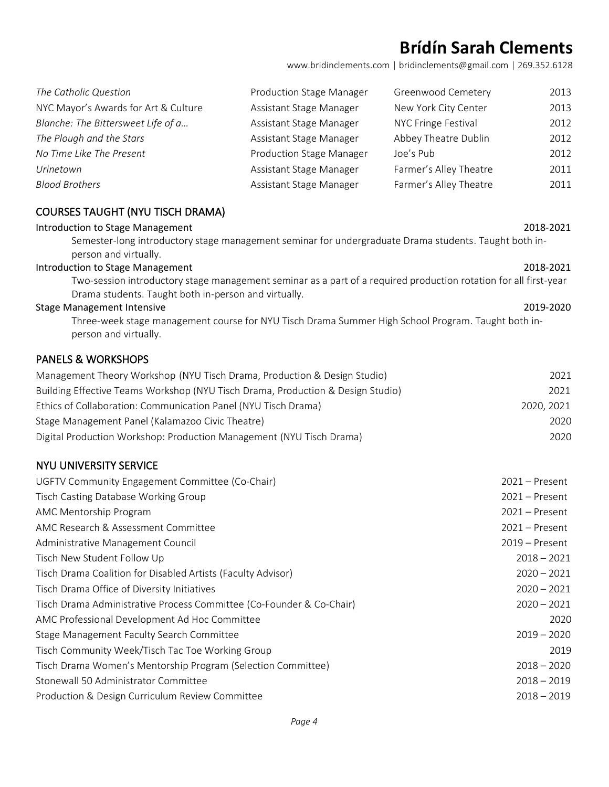[www.bridinclements.com](http://www.bridinclements.com/) | [bridinclements@gmail.com](mailto:bridinclements@gmail.com2) | 269.352.6128

| The Catholic Question                | Production Stage Manager | Greenwood Cemetery     | 2013 |
|--------------------------------------|--------------------------|------------------------|------|
| NYC Mayor's Awards for Art & Culture | Assistant Stage Manager  | New York City Center   | 2013 |
| Blanche: The Bittersweet Life of a   | Assistant Stage Manager  | NYC Fringe Festival    | 2012 |
| The Plough and the Stars             | Assistant Stage Manager  | Abbey Theatre Dublin   | 2012 |
| No Time Like The Present             | Production Stage Manager | Joe's Pub              | 2012 |
| Urinetown                            | Assistant Stage Manager  | Farmer's Alley Theatre | 2011 |
| <b>Blood Brothers</b>                | Assistant Stage Manager  | Farmer's Alley Theatre | 2011 |

#### COURSES TAUGHT (NYU TISCH DRAMA)

#### Introduction to Stage Management 2018-2021 2018-2021

Semester-long introductory stage management seminar for undergraduate Drama students. Taught both inperson and virtually.

#### Introduction to Stage Management 2018-2021 2018-2021

Two-session introductory stage management seminar as a part of a required production rotation for all first-year Drama students. Taught both in-person and virtually.

#### Stage Management Intensive 2019-2020

Three-week stage management course for NYU Tisch Drama Summer High School Program. Taught both inperson and virtually.

#### PANELS & WORKSHOPS

| Management Theory Workshop (NYU Tisch Drama, Production & Design Studio)        | 2021       |
|---------------------------------------------------------------------------------|------------|
| Building Effective Teams Workshop (NYU Tisch Drama, Production & Design Studio) | 2021       |
| Ethics of Collaboration: Communication Panel (NYU Tisch Drama)                  | 2020, 2021 |
| Stage Management Panel (Kalamazoo Civic Theatre)                                | 2020       |
| Digital Production Workshop: Production Management (NYU Tisch Drama)            | 2020       |

#### NYU UNIVERSITY SERVICE

| UGFTV Community Engagement Committee (Co-Chair)                      | $2021 -$ Present |
|----------------------------------------------------------------------|------------------|
| Tisch Casting Database Working Group                                 | $2021 -$ Present |
| AMC Mentorship Program                                               | $2021 -$ Present |
| AMC Research & Assessment Committee                                  | $2021 -$ Present |
| Administrative Management Council                                    | $2019 -$ Present |
| Tisch New Student Follow Up                                          | $2018 - 2021$    |
| Tisch Drama Coalition for Disabled Artists (Faculty Advisor)         | $2020 - 2021$    |
| Tisch Drama Office of Diversity Initiatives                          | $2020 - 2021$    |
| Tisch Drama Administrative Process Committee (Co-Founder & Co-Chair) | $2020 - 2021$    |
| AMC Professional Development Ad Hoc Committee                        | 2020             |
| Stage Management Faculty Search Committee                            | $2019 - 2020$    |
| Tisch Community Week/Tisch Tac Toe Working Group                     | 2019             |
| Tisch Drama Women's Mentorship Program (Selection Committee)         | $2018 - 2020$    |
| Stonewall 50 Administrator Committee                                 | $2018 - 2019$    |
| Production & Design Curriculum Review Committee                      | $2018 - 2019$    |
|                                                                      |                  |